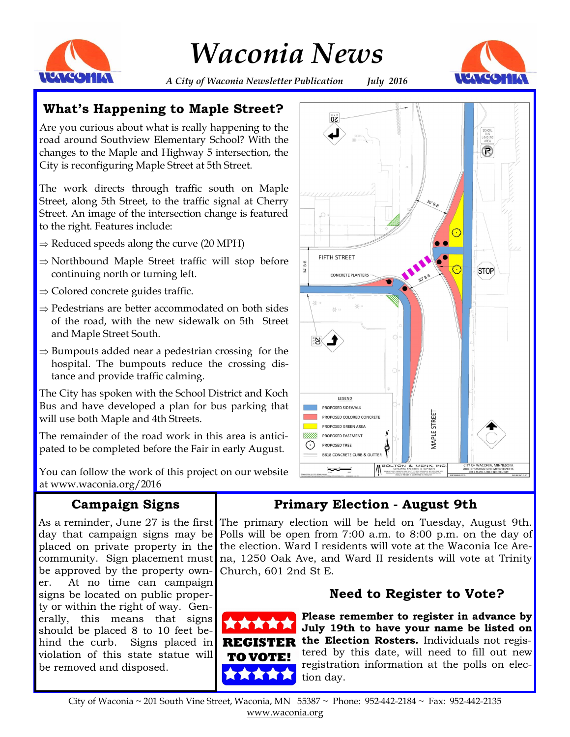

*Waconia News*



*A City of Waconia Newsletter Publication July 2016*

## **What's Happening to Maple Street?**

Are you curious about what is really happening to the road around Southview Elementary School? With the changes to the Maple and Highway 5 intersection, the City is reconfiguring Maple Street at 5th Street.

The work directs through traffic south on Maple Street, along 5th Street, to the traffic signal at Cherry Street. An image of the intersection change is featured to the right. Features include:

- $\Rightarrow$  Reduced speeds along the curve (20 MPH)
- $\Rightarrow$  Northbound Maple Street traffic will stop before continuing north or turning left.
- $\Rightarrow$  Colored concrete guides traffic.
- $\Rightarrow$  Pedestrians are better accommodated on both sides of the road, with the new sidewalk on 5th Street and Maple Street South.
- $\Rightarrow$  Bumpouts added near a pedestrian crossing for the hospital. The bumpouts reduce the crossing distance and provide traffic calming.

The City has spoken with the School District and Koch Bus and have developed a plan for bus parking that will use both Maple and 4th Streets.

The remainder of the road work in this area is anticipated to be completed before the Fair in early August.

You can follow the work of this project on our website at www.waconia.org/2016

## **Campaign Signs**

As a reminder, June 27 is the first day that campaign signs may be placed on private property in the community. Sign placement must be approved by the property owner. At no time can campaign signs be located on public property or within the right of way. Generally, this means that signs should be placed 8 to 10 feet behind the curb. Signs placed in violation of this state statue will be removed and disposed.



## **Primary Election - August 9th**

The primary election will be held on Tuesday, August 9th. Polls will be open from 7:00 a.m. to 8:00 p.m. on the day of the election. Ward I residents will vote at the Waconia Ice Arena, 1250 Oak Ave, and Ward II residents will vote at Trinity Church, 601 2nd St E.

## **Need to Register to Vote?**



**Please remember to register in advance by July 19th to have your name be listed on the Election Rosters.** Individuals not registered by this date, will need to fill out new registration information at the polls on election day.